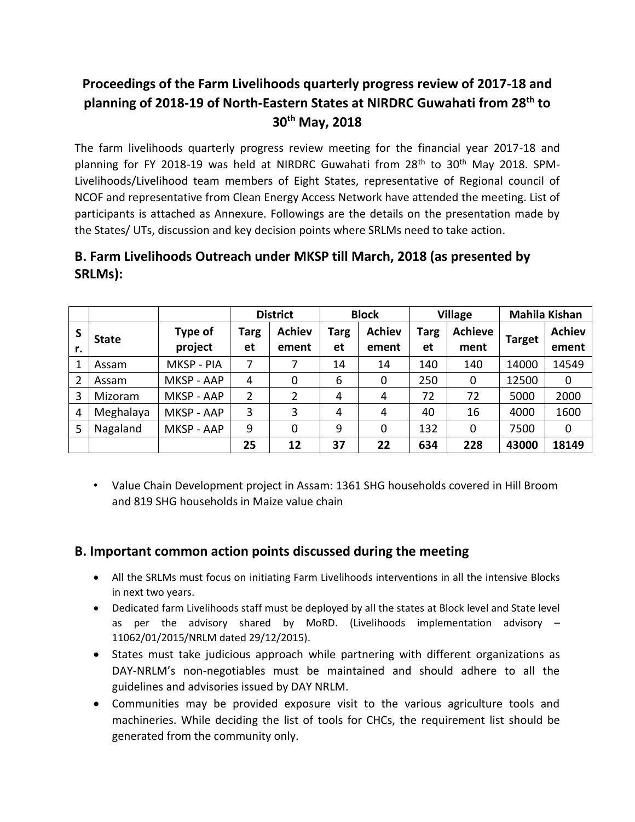# **Proceedings of the Farm Livelihoods quarterly progress review of 2017-18 and planning of 2018-19 of North-Eastern States at NIRDRC Guwahati from 28th to 30th May, 2018**

The farm livelihoods quarterly progress review meeting for the financial year 2017-18 and planning for FY 2018-19 was held at NIRDRC Guwahati from 28<sup>th</sup> to 30<sup>th</sup> May 2018. SPM-Livelihoods/Livelihood team members of Eight States, representative of Regional council of NCOF and representative from Clean Energy Access Network have attended the meeting. List of participants is attached as Annexure. Followings are the details on the presentation made by the States/ UTs, discussion and key decision points where SRLMs need to take action.

# **B. Farm Livelihoods Outreach under MKSP till March, 2018 (as presented by SRLMs):**

|    |              |            | <b>District</b> |               | <b>Block</b> |               | <b>Village</b> |                | <b>Mahila Kishan</b> |               |
|----|--------------|------------|-----------------|---------------|--------------|---------------|----------------|----------------|----------------------|---------------|
| S  | <b>State</b> | Type of    | <b>Targ</b>     | <b>Achiev</b> | <b>Targ</b>  | <b>Achiev</b> | Targ           | <b>Achieve</b> | <b>Target</b>        | <b>Achiev</b> |
| r. |              | project    | et              | ement         | et           | ement         | et             | ment           |                      | ement         |
|    | Assam        | MKSP - PIA | 7               |               | 14           | 14            | 140            | 140            | 14000                | 14549         |
| 2  | Assam        | MKSP - AAP | 4               | 0             | 6            | 0             | 250            | $\mathbf 0$    | 12500                | $\mathbf 0$   |
| 3  | Mizoram      | MKSP - AAP | 2               | 2             | 4            | 4             | 72             | 72             | 5000                 | 2000          |
| 4  | Meghalaya    | MKSP - AAP | 3               | 3             | 4            | 4             | 40             | 16             | 4000                 | 1600          |
| 5  | Nagaland     | MKSP - AAP | 9               | 0             | 9            | 0             | 132            | 0              | 7500                 | $\mathbf 0$   |
|    |              |            | 25              | 12            | 37           | 22            | 634            | 228            | 43000                | 18149         |

• Value Chain Development project in Assam: 1361 SHG households covered in Hill Broom and 819 SHG households in Maize value chain

# **B. Important common action points discussed during the meeting**

- All the SRLMs must focus on initiating Farm Livelihoods interventions in all the intensive Blocks in next two years.
- Dedicated farm Livelihoods staff must be deployed by all the states at Block level and State level as per the advisory shared by MoRD. (Livelihoods implementation advisory – 11062/01/2015/NRLM dated 29/12/2015).
- States must take judicious approach while partnering with different organizations as DAY-NRLM's non-negotiables must be maintained and should adhere to all the guidelines and advisories issued by DAY NRLM.
- Communities may be provided exposure visit to the various agriculture tools and machineries. While deciding the list of tools for CHCs, the requirement list should be generated from the community only.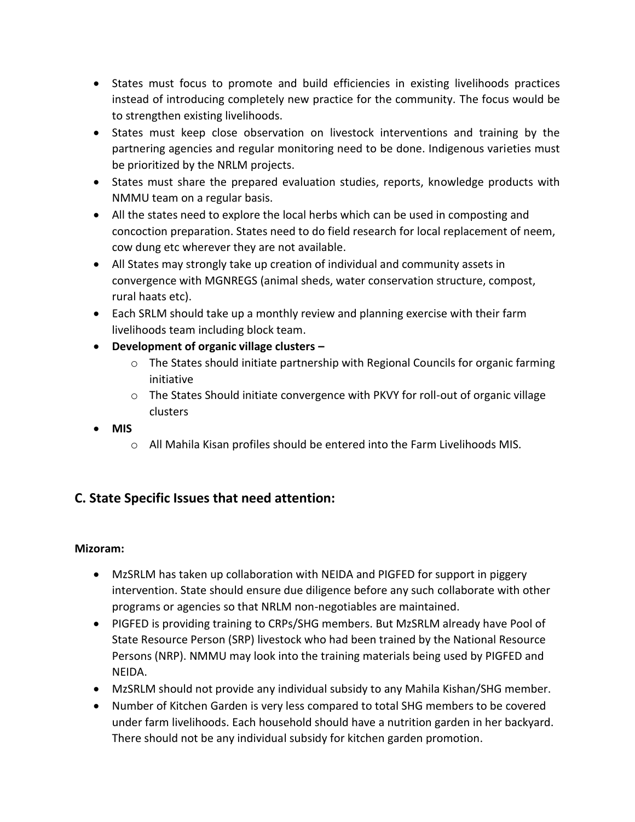- States must focus to promote and build efficiencies in existing livelihoods practices instead of introducing completely new practice for the community. The focus would be to strengthen existing livelihoods.
- States must keep close observation on livestock interventions and training by the partnering agencies and regular monitoring need to be done. Indigenous varieties must be prioritized by the NRLM projects.
- States must share the prepared evaluation studies, reports, knowledge products with NMMU team on a regular basis.
- All the states need to explore the local herbs which can be used in composting and concoction preparation. States need to do field research for local replacement of neem, cow dung etc wherever they are not available.
- All States may strongly take up creation of individual and community assets in convergence with MGNREGS (animal sheds, water conservation structure, compost, rural haats etc).
- Each SRLM should take up a monthly review and planning exercise with their farm livelihoods team including block team.
- **Development of organic village clusters –**
	- $\circ$  The States should initiate partnership with Regional Councils for organic farming initiative
	- o The States Should initiate convergence with PKVY for roll-out of organic village clusters
- **MIS**
	- o All Mahila Kisan profiles should be entered into the Farm Livelihoods MIS.

# **C. State Specific Issues that need attention:**

## **Mizoram:**

- MzSRLM has taken up collaboration with NEIDA and PIGFED for support in piggery intervention. State should ensure due diligence before any such collaborate with other programs or agencies so that NRLM non-negotiables are maintained.
- PIGFED is providing training to CRPs/SHG members. But MzSRLM already have Pool of State Resource Person (SRP) livestock who had been trained by the National Resource Persons (NRP). NMMU may look into the training materials being used by PIGFED and NEIDA.
- MzSRLM should not provide any individual subsidy to any Mahila Kishan/SHG member.
- Number of Kitchen Garden is very less compared to total SHG members to be covered under farm livelihoods. Each household should have a nutrition garden in her backyard. There should not be any individual subsidy for kitchen garden promotion.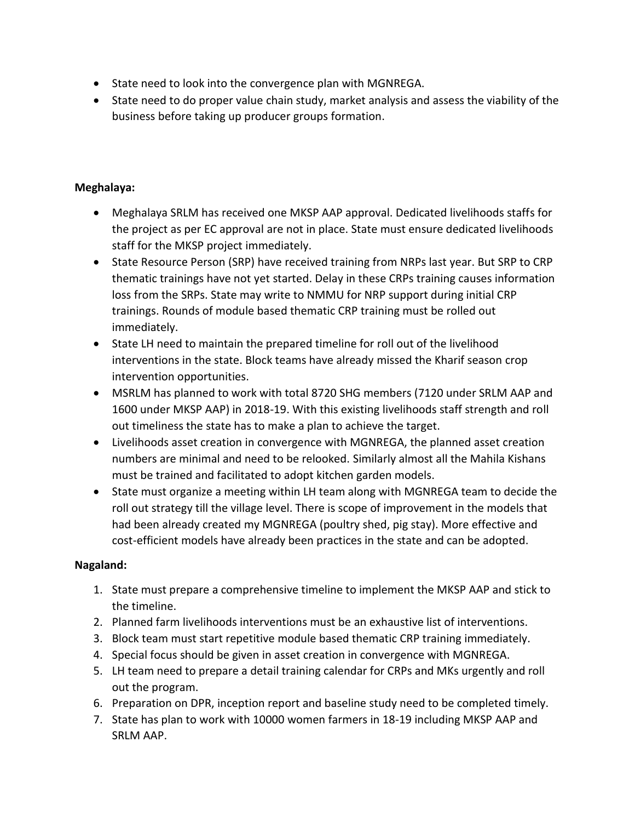- State need to look into the convergence plan with MGNREGA.
- State need to do proper value chain study, market analysis and assess the viability of the business before taking up producer groups formation.

#### **Meghalaya:**

- Meghalaya SRLM has received one MKSP AAP approval. Dedicated livelihoods staffs for the project as per EC approval are not in place. State must ensure dedicated livelihoods staff for the MKSP project immediately.
- State Resource Person (SRP) have received training from NRPs last year. But SRP to CRP thematic trainings have not yet started. Delay in these CRPs training causes information loss from the SRPs. State may write to NMMU for NRP support during initial CRP trainings. Rounds of module based thematic CRP training must be rolled out immediately.
- State LH need to maintain the prepared timeline for roll out of the livelihood interventions in the state. Block teams have already missed the Kharif season crop intervention opportunities.
- MSRLM has planned to work with total 8720 SHG members (7120 under SRLM AAP and 1600 under MKSP AAP) in 2018-19. With this existing livelihoods staff strength and roll out timeliness the state has to make a plan to achieve the target.
- Livelihoods asset creation in convergence with MGNREGA, the planned asset creation numbers are minimal and need to be relooked. Similarly almost all the Mahila Kishans must be trained and facilitated to adopt kitchen garden models.
- State must organize a meeting within LH team along with MGNREGA team to decide the roll out strategy till the village level. There is scope of improvement in the models that had been already created my MGNREGA (poultry shed, pig stay). More effective and cost-efficient models have already been practices in the state and can be adopted.

## **Nagaland:**

- 1. State must prepare a comprehensive timeline to implement the MKSP AAP and stick to the timeline.
- 2. Planned farm livelihoods interventions must be an exhaustive list of interventions.
- 3. Block team must start repetitive module based thematic CRP training immediately.
- 4. Special focus should be given in asset creation in convergence with MGNREGA.
- 5. LH team need to prepare a detail training calendar for CRPs and MKs urgently and roll out the program.
- 6. Preparation on DPR, inception report and baseline study need to be completed timely.
- 7. State has plan to work with 10000 women farmers in 18-19 including MKSP AAP and SRLM AAP.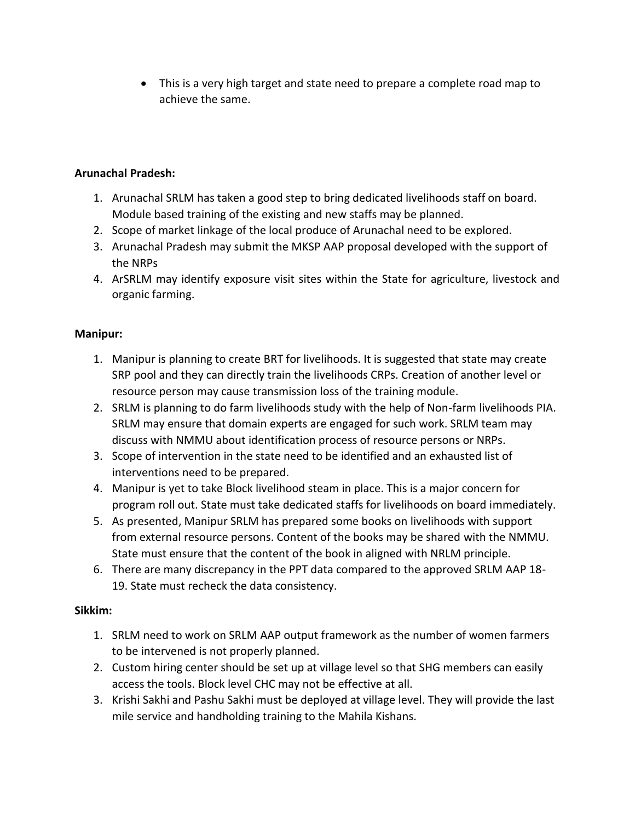This is a very high target and state need to prepare a complete road map to achieve the same.

# **Arunachal Pradesh:**

- 1. Arunachal SRLM has taken a good step to bring dedicated livelihoods staff on board. Module based training of the existing and new staffs may be planned.
- 2. Scope of market linkage of the local produce of Arunachal need to be explored.
- 3. Arunachal Pradesh may submit the MKSP AAP proposal developed with the support of the NRPs
- 4. ArSRLM may identify exposure visit sites within the State for agriculture, livestock and organic farming.

## **Manipur:**

- 1. Manipur is planning to create BRT for livelihoods. It is suggested that state may create SRP pool and they can directly train the livelihoods CRPs. Creation of another level or resource person may cause transmission loss of the training module.
- 2. SRLM is planning to do farm livelihoods study with the help of Non-farm livelihoods PIA. SRLM may ensure that domain experts are engaged for such work. SRLM team may discuss with NMMU about identification process of resource persons or NRPs.
- 3. Scope of intervention in the state need to be identified and an exhausted list of interventions need to be prepared.
- 4. Manipur is yet to take Block livelihood steam in place. This is a major concern for program roll out. State must take dedicated staffs for livelihoods on board immediately.
- 5. As presented, Manipur SRLM has prepared some books on livelihoods with support from external resource persons. Content of the books may be shared with the NMMU. State must ensure that the content of the book in aligned with NRLM principle.
- 6. There are many discrepancy in the PPT data compared to the approved SRLM AAP 18- 19. State must recheck the data consistency.

## **Sikkim:**

- 1. SRLM need to work on SRLM AAP output framework as the number of women farmers to be intervened is not properly planned.
- 2. Custom hiring center should be set up at village level so that SHG members can easily access the tools. Block level CHC may not be effective at all.
- 3. Krishi Sakhi and Pashu Sakhi must be deployed at village level. They will provide the last mile service and handholding training to the Mahila Kishans.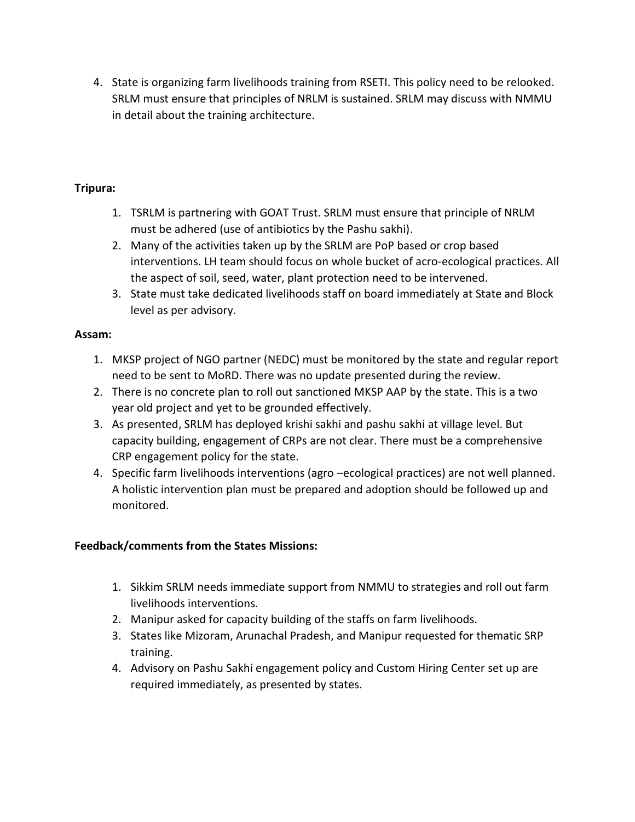4. State is organizing farm livelihoods training from RSETI. This policy need to be relooked. SRLM must ensure that principles of NRLM is sustained. SRLM may discuss with NMMU in detail about the training architecture.

## **Tripura:**

- 1. TSRLM is partnering with GOAT Trust. SRLM must ensure that principle of NRLM must be adhered (use of antibiotics by the Pashu sakhi).
- 2. Many of the activities taken up by the SRLM are PoP based or crop based interventions. LH team should focus on whole bucket of acro-ecological practices. All the aspect of soil, seed, water, plant protection need to be intervened.
- 3. State must take dedicated livelihoods staff on board immediately at State and Block level as per advisory.

# **Assam:**

- 1. MKSP project of NGO partner (NEDC) must be monitored by the state and regular report need to be sent to MoRD. There was no update presented during the review.
- 2. There is no concrete plan to roll out sanctioned MKSP AAP by the state. This is a two year old project and yet to be grounded effectively.
- 3. As presented, SRLM has deployed krishi sakhi and pashu sakhi at village level. But capacity building, engagement of CRPs are not clear. There must be a comprehensive CRP engagement policy for the state.
- 4. Specific farm livelihoods interventions (agro –ecological practices) are not well planned. A holistic intervention plan must be prepared and adoption should be followed up and monitored.

# **Feedback/comments from the States Missions:**

- 1. Sikkim SRLM needs immediate support from NMMU to strategies and roll out farm livelihoods interventions.
- 2. Manipur asked for capacity building of the staffs on farm livelihoods.
- 3. States like Mizoram, Arunachal Pradesh, and Manipur requested for thematic SRP training.
- 4. Advisory on Pashu Sakhi engagement policy and Custom Hiring Center set up are required immediately, as presented by states.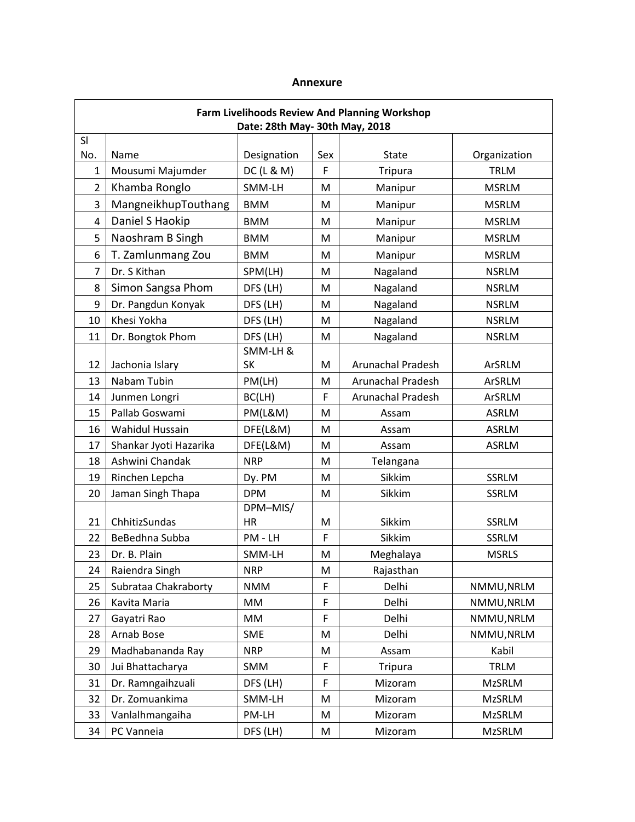#### **Annexure**

| <b>Farm Livelihoods Review And Planning Workshop</b><br>Date: 28th May- 30th May, 2018 |                               |                           |     |                          |               |  |
|----------------------------------------------------------------------------------------|-------------------------------|---------------------------|-----|--------------------------|---------------|--|
| SI                                                                                     |                               |                           |     |                          |               |  |
| No.                                                                                    | Name                          | Designation               | Sex | <b>State</b>             | Organization  |  |
| 1                                                                                      | Mousumi Majumder              | DC(L & M)                 | F   | <b>Tripura</b>           | <b>TRLM</b>   |  |
| $\overline{2}$                                                                         | Khamba Ronglo                 | SMM-LH                    | M   | Manipur                  | <b>MSRLM</b>  |  |
| 3                                                                                      | MangneikhupTouthang           | <b>BMM</b>                | M   | Manipur                  | <b>MSRLM</b>  |  |
| 4                                                                                      | Daniel S Haokip               | <b>BMM</b>                | M   | Manipur                  | <b>MSRLM</b>  |  |
| 5                                                                                      | Naoshram B Singh              | <b>BMM</b>                | М   | Manipur                  | <b>MSRLM</b>  |  |
| 6                                                                                      | T. Zamlunmang Zou             | <b>BMM</b>                | M   | Manipur                  | <b>MSRLM</b>  |  |
| 7                                                                                      | Dr. S Kithan                  | SPM(LH)                   | M   | Nagaland                 | <b>NSRLM</b>  |  |
| 8                                                                                      | Simon Sangsa Phom             | DFS (LH)                  | М   | Nagaland                 | <b>NSRLM</b>  |  |
| 9                                                                                      | Dr. Pangdun Konyak            | DFS (LH)<br>M<br>Nagaland |     | <b>NSRLM</b>             |               |  |
| 10                                                                                     | Khesi Yokha                   | Nagaland<br>DFS (LH)<br>M |     | <b>NSRLM</b>             |               |  |
| 11                                                                                     | Dr. Bongtok Phom              | DFS (LH)                  | M   | Nagaland                 | <b>NSRLM</b>  |  |
| 12                                                                                     | Jachonia Islary               | SMM-LH &<br><b>SK</b>     | M   | <b>Arunachal Pradesh</b> | ArSRLM        |  |
| 13                                                                                     | Nabam Tubin                   | PM(LH)                    | M   | <b>Arunachal Pradesh</b> | ArSRLM        |  |
| 14                                                                                     | Junmen Longri                 | BC(LH)                    | F   | Arunachal Pradesh        | ArSRLM        |  |
| 15                                                                                     | Pallab Goswami                | <b>PM(L&amp;M)</b>        | M   | Assam                    | <b>ASRLM</b>  |  |
| 16                                                                                     | <b>Wahidul Hussain</b>        | DFE(L&M)                  | M   | Assam                    | <b>ASRLM</b>  |  |
| 17                                                                                     | Shankar Jyoti Hazarika        | DFE(L&M)                  | M   | Assam                    | <b>ASRLM</b>  |  |
| 18                                                                                     | Ashwini Chandak               | <b>NRP</b>                | M   | Telangana                |               |  |
| 19                                                                                     | Rinchen Lepcha                | Dy. PM                    | M   | Sikkim                   | <b>SSRLM</b>  |  |
| 20                                                                                     | Jaman Singh Thapa             | <b>DPM</b>                | M   | Sikkim                   | <b>SSRLM</b>  |  |
| 21                                                                                     | ChhitizSundas                 | DPM-MIS/<br><b>HR</b>     | M   | Sikkim                   | <b>SSRLM</b>  |  |
| 22                                                                                     | BeBedhna Subba                | PM - LH                   | F   | Sikkim                   | <b>SSRLM</b>  |  |
| 23                                                                                     | Dr. B. Plain                  | SMM-LH                    | M   | Meghalaya                | <b>MSRLS</b>  |  |
| 24                                                                                     | Raiendra Singh                | <b>NRP</b>                | M   | Rajasthan                |               |  |
| 25                                                                                     | Subrataa Chakraborty          | <b>NMM</b>                | F   | Delhi                    | NMMU, NRLM    |  |
| 26                                                                                     | Kavita Maria                  | MM                        | F   | Delhi                    | NMMU, NRLM    |  |
| 27                                                                                     | Gayatri Rao                   | MM                        | F   | Delhi                    | NMMU, NRLM    |  |
| 28                                                                                     | Arnab Bose                    | SME                       | M   | Delhi                    | NMMU, NRLM    |  |
| 29                                                                                     | Madhabananda Ray              | <b>NRP</b>                | M   | Assam                    | Kabil         |  |
| 30                                                                                     | Jui Bhattacharya              | SMM                       | F   | <b>Tripura</b>           | <b>TRLM</b>   |  |
| 31                                                                                     | Dr. Ramngaihzuali<br>DFS (LH) |                           | F   | Mizoram                  | <b>MzSRLM</b> |  |
| 32                                                                                     | Dr. Zomuankima                | SMM-LH                    | M   | Mizoram                  | <b>MzSRLM</b> |  |
| 33                                                                                     | Vanlalhmangaiha               | PM-LH                     | M   | Mizoram                  | <b>MzSRLM</b> |  |
| 34                                                                                     | PC Vanneia                    | DFS (LH)                  | M   | Mizoram                  | <b>MzSRLM</b> |  |